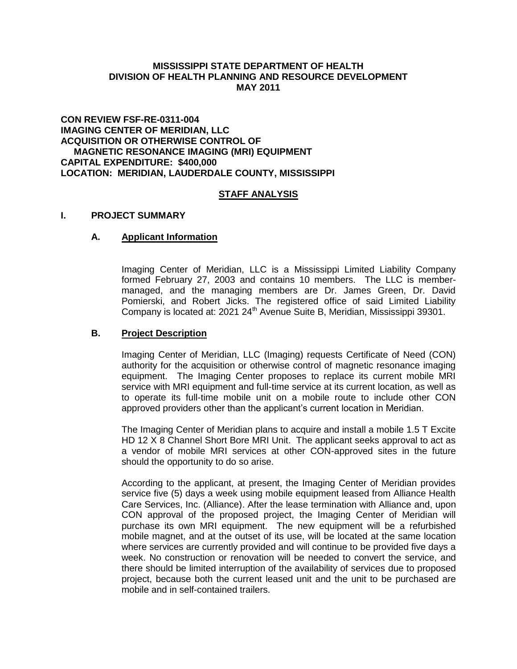## **MISSISSIPPI STATE DEPARTMENT OF HEALTH DIVISION OF HEALTH PLANNING AND RESOURCE DEVELOPMENT MAY 2011**

## **CON REVIEW FSF-RE-0311-004 IMAGING CENTER OF MERIDIAN, LLC ACQUISITION OR OTHERWISE CONTROL OF MAGNETIC RESONANCE IMAGING (MRI) EQUIPMENT CAPITAL EXPENDITURE: \$400,000 LOCATION: MERIDIAN, LAUDERDALE COUNTY, MISSISSIPPI**

# **STAFF ANALYSIS**

## **I. PROJECT SUMMARY**

## **A. Applicant Information**

Imaging Center of Meridian, LLC is a Mississippi Limited Liability Company formed February 27, 2003 and contains 10 members. The LLC is membermanaged, and the managing members are Dr. James Green, Dr. David Pomierski, and Robert Jicks. The registered office of said Limited Liability Company is located at: 2021 24<sup>th</sup> Avenue Suite B, Meridian, Mississippi 39301.

#### **B. Project Description**

Imaging Center of Meridian, LLC (Imaging) requests Certificate of Need (CON) authority for the acquisition or otherwise control of magnetic resonance imaging equipment. The Imaging Center proposes to replace its current mobile MRI service with MRI equipment and full-time service at its current location, as well as to operate its full-time mobile unit on a mobile route to include other CON approved providers other than the applicant's current location in Meridian.

The Imaging Center of Meridian plans to acquire and install a mobile 1.5 T Excite HD 12 X 8 Channel Short Bore MRI Unit. The applicant seeks approval to act as a vendor of mobile MRI services at other CON-approved sites in the future should the opportunity to do so arise.

According to the applicant, at present, the Imaging Center of Meridian provides service five (5) days a week using mobile equipment leased from Alliance Health Care Services, Inc. (Alliance). After the lease termination with Alliance and, upon CON approval of the proposed project, the Imaging Center of Meridian will purchase its own MRI equipment. The new equipment will be a refurbished mobile magnet, and at the outset of its use, will be located at the same location where services are currently provided and will continue to be provided five days a week. No construction or renovation will be needed to convert the service, and there should be limited interruption of the availability of services due to proposed project, because both the current leased unit and the unit to be purchased are mobile and in self-contained trailers.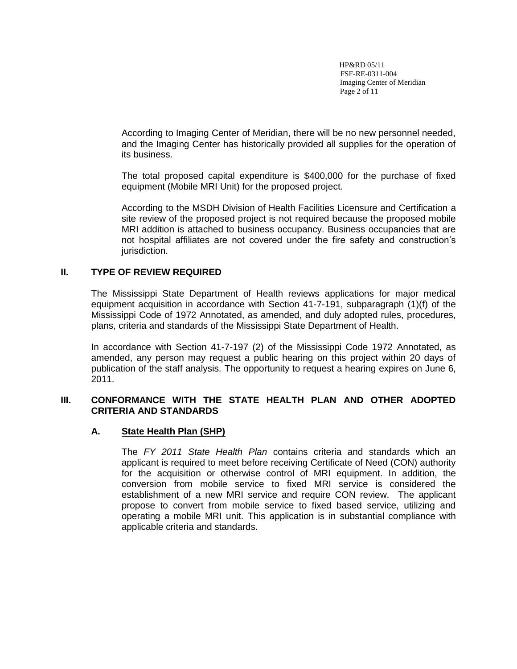HP&RD 05/11 FSF-RE-0311-004 Imaging Center of Meridian Page 2 of 11

According to Imaging Center of Meridian, there will be no new personnel needed, and the Imaging Center has historically provided all supplies for the operation of its business.

The total proposed capital expenditure is \$400,000 for the purchase of fixed equipment (Mobile MRI Unit) for the proposed project.

According to the MSDH Division of Health Facilities Licensure and Certification a site review of the proposed project is not required because the proposed mobile MRI addition is attached to business occupancy. Business occupancies that are not hospital affiliates are not covered under the fire safety and construction's jurisdiction.

## **II. TYPE OF REVIEW REQUIRED**

The Mississippi State Department of Health reviews applications for major medical equipment acquisition in accordance with Section 41-7-191, subparagraph (1)(f) of the Mississippi Code of 1972 Annotated, as amended, and duly adopted rules, procedures, plans, criteria and standards of the Mississippi State Department of Health.

In accordance with Section 41-7-197 (2) of the Mississippi Code 1972 Annotated, as amended, any person may request a public hearing on this project within 20 days of publication of the staff analysis. The opportunity to request a hearing expires on June 6, 2011.

## **III. CONFORMANCE WITH THE STATE HEALTH PLAN AND OTHER ADOPTED CRITERIA AND STANDARDS**

## **A. State Health Plan (SHP)**

The *FY 2011 State Health Plan* contains criteria and standards which an applicant is required to meet before receiving Certificate of Need (CON) authority for the acquisition or otherwise control of MRI equipment. In addition, the conversion from mobile service to fixed MRI service is considered the establishment of a new MRI service and require CON review. The applicant propose to convert from mobile service to fixed based service, utilizing and operating a mobile MRI unit. This application is in substantial compliance with applicable criteria and standards.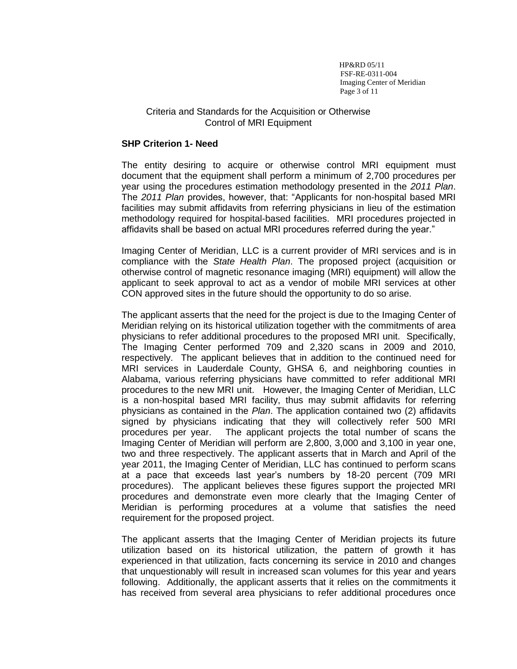HP&RD 05/11 FSF-RE-0311-004 Imaging Center of Meridian Page 3 of 11

## Criteria and Standards for the Acquisition or Otherwise Control of MRI Equipment

#### **SHP Criterion 1- Need**

The entity desiring to acquire or otherwise control MRI equipment must document that the equipment shall perform a minimum of 2,700 procedures per year using the procedures estimation methodology presented in the *2011 Plan*. The *2011 Plan* provides, however, that: "Applicants for non-hospital based MRI facilities may submit affidavits from referring physicians in lieu of the estimation methodology required for hospital-based facilities. MRI procedures projected in affidavits shall be based on actual MRI procedures referred during the year."

Imaging Center of Meridian, LLC is a current provider of MRI services and is in compliance with the *State Health Plan*. The proposed project (acquisition or otherwise control of magnetic resonance imaging (MRI) equipment) will allow the applicant to seek approval to act as a vendor of mobile MRI services at other CON approved sites in the future should the opportunity to do so arise.

The applicant asserts that the need for the project is due to the Imaging Center of Meridian relying on its historical utilization together with the commitments of area physicians to refer additional procedures to the proposed MRI unit. Specifically, The Imaging Center performed 709 and 2,320 scans in 2009 and 2010, respectively. The applicant believes that in addition to the continued need for MRI services in Lauderdale County, GHSA 6, and neighboring counties in Alabama, various referring physicians have committed to refer additional MRI procedures to the new MRI unit. However, the Imaging Center of Meridian, LLC is a non-hospital based MRI facility, thus may submit affidavits for referring physicians as contained in the *Plan*. The application contained two (2) affidavits signed by physicians indicating that they will collectively refer 500 MRI procedures per year. The applicant projects the total number of scans the Imaging Center of Meridian will perform are 2,800, 3,000 and 3,100 in year one, two and three respectively. The applicant asserts that in March and April of the year 2011, the Imaging Center of Meridian, LLC has continued to perform scans at a pace that exceeds last year's numbers by 18-20 percent (709 MRI procedures). The applicant believes these figures support the projected MRI procedures and demonstrate even more clearly that the Imaging Center of Meridian is performing procedures at a volume that satisfies the need requirement for the proposed project.

The applicant asserts that the Imaging Center of Meridian projects its future utilization based on its historical utilization, the pattern of growth it has experienced in that utilization, facts concerning its service in 2010 and changes that unquestionably will result in increased scan volumes for this year and years following. Additionally, the applicant asserts that it relies on the commitments it has received from several area physicians to refer additional procedures once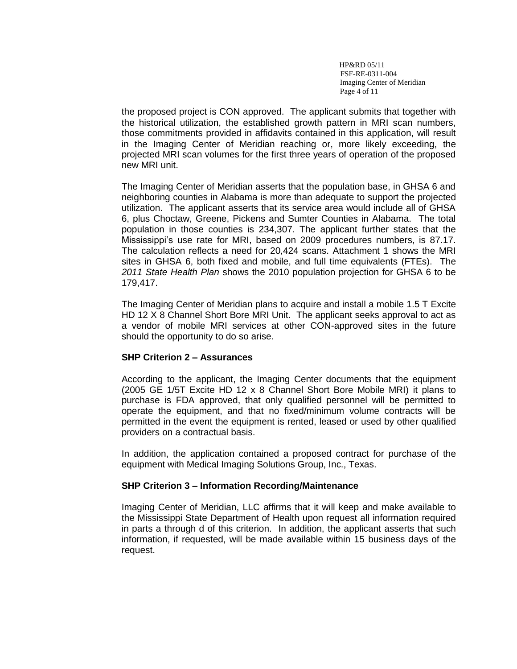HP&RD 05/11 FSF-RE-0311-004 Imaging Center of Meridian Page 4 of 11

the proposed project is CON approved. The applicant submits that together with the historical utilization, the established growth pattern in MRI scan numbers, those commitments provided in affidavits contained in this application, will result in the Imaging Center of Meridian reaching or, more likely exceeding, the projected MRI scan volumes for the first three years of operation of the proposed new MRI unit.

The Imaging Center of Meridian asserts that the population base, in GHSA 6 and neighboring counties in Alabama is more than adequate to support the projected utilization. The applicant asserts that its service area would include all of GHSA 6, plus Choctaw, Greene, Pickens and Sumter Counties in Alabama. The total population in those counties is 234,307. The applicant further states that the Mississippi's use rate for MRI, based on 2009 procedures numbers, is 87.17. The calculation reflects a need for 20,424 scans. Attachment 1 shows the MRI sites in GHSA 6, both fixed and mobile, and full time equivalents (FTEs). The *2011 State Health Plan* shows the 2010 population projection for GHSA 6 to be 179,417.

The Imaging Center of Meridian plans to acquire and install a mobile 1.5 T Excite HD 12 X 8 Channel Short Bore MRI Unit. The applicant seeks approval to act as a vendor of mobile MRI services at other CON-approved sites in the future should the opportunity to do so arise.

## **SHP Criterion 2 – Assurances**

According to the applicant, the Imaging Center documents that the equipment (2005 GE 1/5T Excite HD 12 x 8 Channel Short Bore Mobile MRI) it plans to purchase is FDA approved, that only qualified personnel will be permitted to operate the equipment, and that no fixed/minimum volume contracts will be permitted in the event the equipment is rented, leased or used by other qualified providers on a contractual basis.

In addition, the application contained a proposed contract for purchase of the equipment with Medical Imaging Solutions Group, Inc., Texas.

## **SHP Criterion 3 – Information Recording/Maintenance**

Imaging Center of Meridian, LLC affirms that it will keep and make available to the Mississippi State Department of Health upon request all information required in parts a through d of this criterion. In addition, the applicant asserts that such information, if requested, will be made available within 15 business days of the request.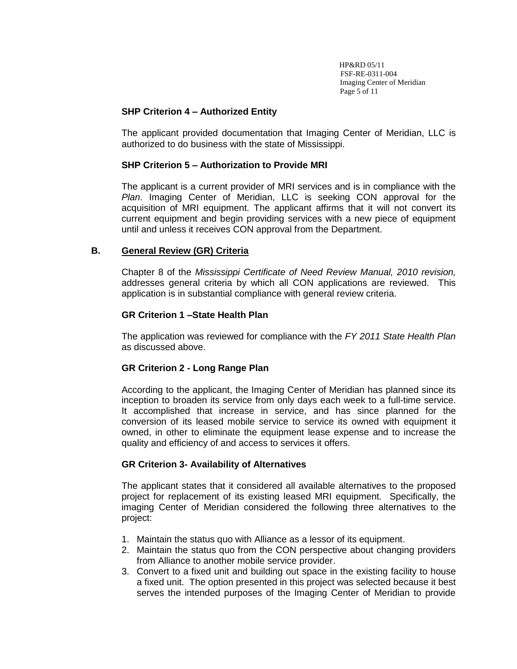HP&RD 05/11 FSF-RE-0311-004 Imaging Center of Meridian Page 5 of 11

## **SHP Criterion 4 – Authorized Entity**

The applicant provided documentation that Imaging Center of Meridian, LLC is authorized to do business with the state of Mississippi.

## **SHP Criterion 5 – Authorization to Provide MRI**

The applicant is a current provider of MRI services and is in compliance with the *Plan*. Imaging Center of Meridian, LLC is seeking CON approval for the acquisition of MRI equipment. The applicant affirms that it will not convert its current equipment and begin providing services with a new piece of equipment until and unless it receives CON approval from the Department.

## **B. General Review (GR) Criteria**

Chapter 8 of the *Mississippi Certificate of Need Review Manual, 2010 revision,*  addresses general criteria by which all CON applications are reviewed. This application is in substantial compliance with general review criteria.

## **GR Criterion 1 –State Health Plan**

The application was reviewed for compliance with the *FY 2011 State Health Plan* as discussed above.

# **GR Criterion 2 - Long Range Plan**

According to the applicant, the Imaging Center of Meridian has planned since its inception to broaden its service from only days each week to a full-time service. It accomplished that increase in service, and has since planned for the conversion of its leased mobile service to service its owned with equipment it owned, in other to eliminate the equipment lease expense and to increase the quality and efficiency of and access to services it offers.

# **GR Criterion 3- Availability of Alternatives**

The applicant states that it considered all available alternatives to the proposed project for replacement of its existing leased MRI equipment. Specifically, the imaging Center of Meridian considered the following three alternatives to the project:

- 1. Maintain the status quo with Alliance as a lessor of its equipment.
- 2. Maintain the status quo from the CON perspective about changing providers from Alliance to another mobile service provider.
- 3. Convert to a fixed unit and building out space in the existing facility to house a fixed unit. The option presented in this project was selected because it best serves the intended purposes of the Imaging Center of Meridian to provide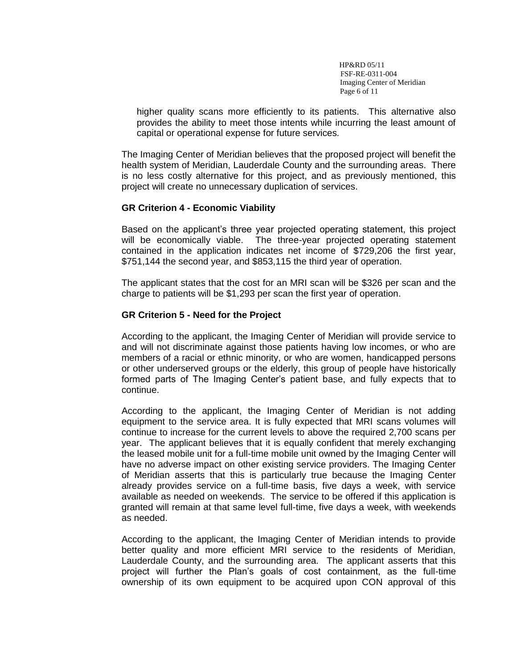HP&RD 05/11 FSF-RE-0311-004 Imaging Center of Meridian Page 6 of 11

higher quality scans more efficiently to its patients. This alternative also provides the ability to meet those intents while incurring the least amount of capital or operational expense for future services*.* 

The Imaging Center of Meridian believes that the proposed project will benefit the health system of Meridian, Lauderdale County and the surrounding areas. There is no less costly alternative for this project, and as previously mentioned, this project will create no unnecessary duplication of services.

## **GR Criterion 4 - Economic Viability**

Based on the applicant's three year projected operating statement, this project will be economically viable. The three-year projected operating statement contained in the application indicates net income of \$729,206 the first year, \$751,144 the second year, and \$853,115 the third year of operation.

The applicant states that the cost for an MRI scan will be \$326 per scan and the charge to patients will be \$1,293 per scan the first year of operation.

## **GR Criterion 5 - Need for the Project**

According to the applicant, the Imaging Center of Meridian will provide service to and will not discriminate against those patients having low incomes, or who are members of a racial or ethnic minority, or who are women, handicapped persons or other underserved groups or the elderly, this group of people have historically formed parts of The Imaging Center's patient base, and fully expects that to continue.

According to the applicant, the Imaging Center of Meridian is not adding equipment to the service area. It is fully expected that MRI scans volumes will continue to increase for the current levels to above the required 2,700 scans per year. The applicant believes that it is equally confident that merely exchanging the leased mobile unit for a full-time mobile unit owned by the Imaging Center will have no adverse impact on other existing service providers. The Imaging Center of Meridian asserts that this is particularly true because the Imaging Center already provides service on a full-time basis, five days a week, with service available as needed on weekends. The service to be offered if this application is granted will remain at that same level full-time, five days a week, with weekends as needed.

According to the applicant, the Imaging Center of Meridian intends to provide better quality and more efficient MRI service to the residents of Meridian, Lauderdale County, and the surrounding area. The applicant asserts that this project will further the Plan's goals of cost containment, as the full-time ownership of its own equipment to be acquired upon CON approval of this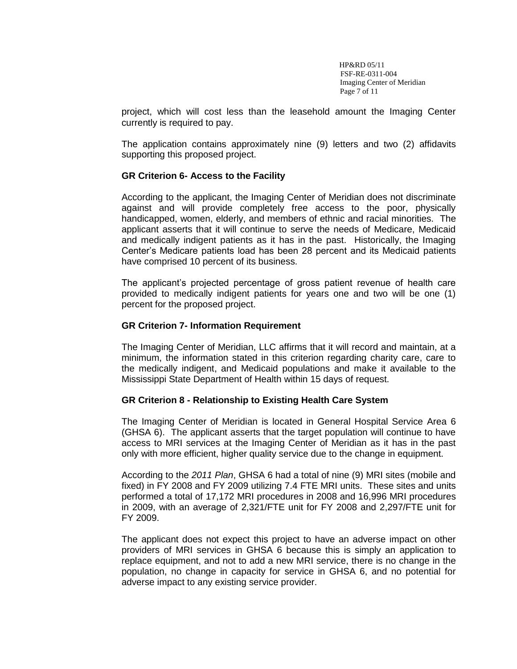HP&RD 05/11 FSF-RE-0311-004 Imaging Center of Meridian Page 7 of 11

project, which will cost less than the leasehold amount the Imaging Center currently is required to pay.

The application contains approximately nine (9) letters and two (2) affidavits supporting this proposed project.

## **GR Criterion 6- Access to the Facility**

According to the applicant, the Imaging Center of Meridian does not discriminate against and will provide completely free access to the poor, physically handicapped, women, elderly, and members of ethnic and racial minorities. The applicant asserts that it will continue to serve the needs of Medicare, Medicaid and medically indigent patients as it has in the past. Historically, the Imaging Center's Medicare patients load has been 28 percent and its Medicaid patients have comprised 10 percent of its business.

The applicant's projected percentage of gross patient revenue of health care provided to medically indigent patients for years one and two will be one (1) percent for the proposed project.

## **GR Criterion 7- Information Requirement**

The Imaging Center of Meridian, LLC affirms that it will record and maintain, at a minimum, the information stated in this criterion regarding charity care, care to the medically indigent, and Medicaid populations and make it available to the Mississippi State Department of Health within 15 days of request.

## **GR Criterion 8 - Relationship to Existing Health Care System**

The Imaging Center of Meridian is located in General Hospital Service Area 6 (GHSA 6). The applicant asserts that the target population will continue to have access to MRI services at the Imaging Center of Meridian as it has in the past only with more efficient, higher quality service due to the change in equipment.

According to the *2011 Plan*, GHSA 6 had a total of nine (9) MRI sites (mobile and fixed) in FY 2008 and FY 2009 utilizing 7.4 FTE MRI units. These sites and units performed a total of 17,172 MRI procedures in 2008 and 16,996 MRI procedures in 2009, with an average of 2,321/FTE unit for FY 2008 and 2,297/FTE unit for FY 2009.

The applicant does not expect this project to have an adverse impact on other providers of MRI services in GHSA 6 because this is simply an application to replace equipment, and not to add a new MRI service, there is no change in the population, no change in capacity for service in GHSA 6, and no potential for adverse impact to any existing service provider.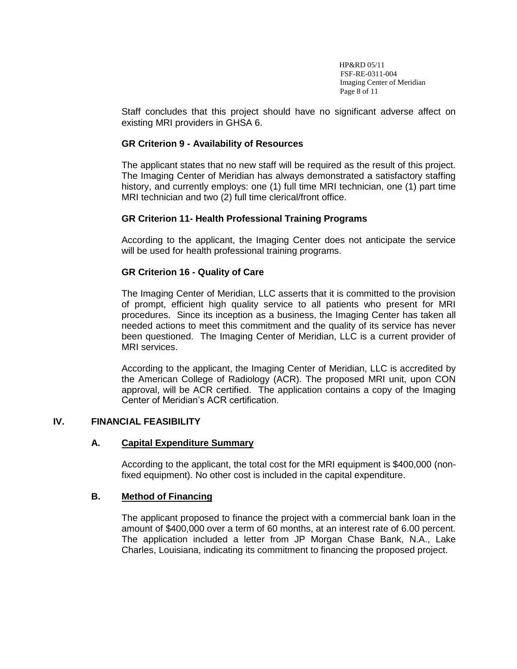HP&RD 05/11 FSF-RE-0311-004 Imaging Center of Meridian Page 8 of 11

Staff concludes that this project should have no significant adverse affect on existing MRI providers in GHSA 6.

## **GR Criterion 9 - Availability of Resources**

The applicant states that no new staff will be required as the result of this project. The Imaging Center of Meridian has always demonstrated a satisfactory staffing history, and currently employs: one (1) full time MRI technician, one (1) part time MRI technician and two (2) full time clerical/front office.

# **GR Criterion 11- Health Professional Training Programs**

According to the applicant, the Imaging Center does not anticipate the service will be used for health professional training programs.

# **GR Criterion 16 - Quality of Care**

The Imaging Center of Meridian, LLC asserts that it is committed to the provision of prompt, efficient high quality service to all patients who present for MRI procedures. Since its inception as a business, the Imaging Center has taken all needed actions to meet this commitment and the quality of its service has never been questioned. The Imaging Center of Meridian, LLC is a current provider of MRI services.

According to the applicant, the Imaging Center of Meridian, LLC is accredited by the American College of Radiology (ACR). The proposed MRI unit, upon CON approval, will be ACR certified. The application contains a copy of the Imaging Center of Meridian's ACR certification.

## **IV. FINANCIAL FEASIBILITY**

# **A. Capital Expenditure Summary**

According to the applicant, the total cost for the MRI equipment is \$400,000 (nonfixed equipment). No other cost is included in the capital expenditure.

## **B. Method of Financing**

The applicant proposed to finance the project with a commercial bank loan in the amount of \$400,000 over a term of 60 months, at an interest rate of 6.00 percent. The application included a letter from JP Morgan Chase Bank, N.A., Lake Charles, Louisiana, indicating its commitment to financing the proposed project.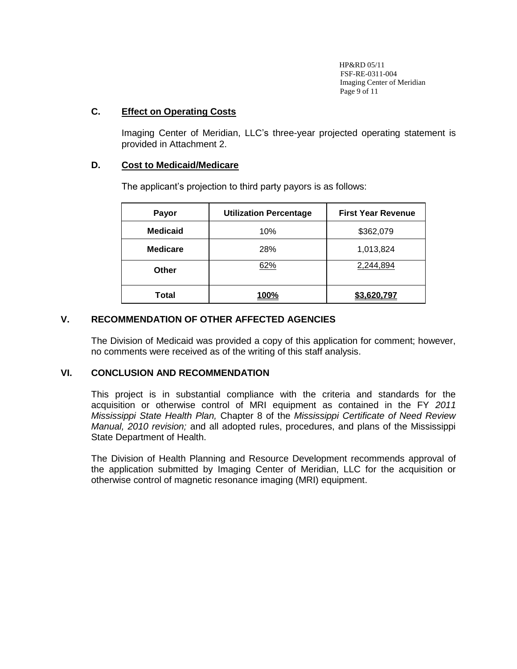HP&RD 05/11 FSF-RE-0311-004 Imaging Center of Meridian Page 9 of 11

## **C. Effect on Operating Costs**

Imaging Center of Meridian, LLC's three-year projected operating statement is provided in Attachment 2.

## **D. Cost to Medicaid/Medicare**

The applicant's projection to third party payors is as follows:

| Payor           | <b>Utilization Percentage</b> | <b>First Year Revenue</b> |  |  |
|-----------------|-------------------------------|---------------------------|--|--|
| <b>Medicaid</b> | 10%                           | \$362,079                 |  |  |
| <b>Medicare</b> | 28%                           | 1,013,824                 |  |  |
| Other           | 62%                           | 2,244,894                 |  |  |
| Total           | 100%                          | \$3,620,797               |  |  |

## **V. RECOMMENDATION OF OTHER AFFECTED AGENCIES**

The Division of Medicaid was provided a copy of this application for comment; however, no comments were received as of the writing of this staff analysis.

## **VI. CONCLUSION AND RECOMMENDATION**

This project is in substantial compliance with the criteria and standards for the acquisition or otherwise control of MRI equipment as contained in the FY *2011 Mississippi State Health Plan,* Chapter 8 of the *Mississippi Certificate of Need Review Manual, 2010 revision;* and all adopted rules, procedures, and plans of the Mississippi State Department of Health.

The Division of Health Planning and Resource Development recommends approval of the application submitted by Imaging Center of Meridian, LLC for the acquisition or otherwise control of magnetic resonance imaging (MRI) equipment.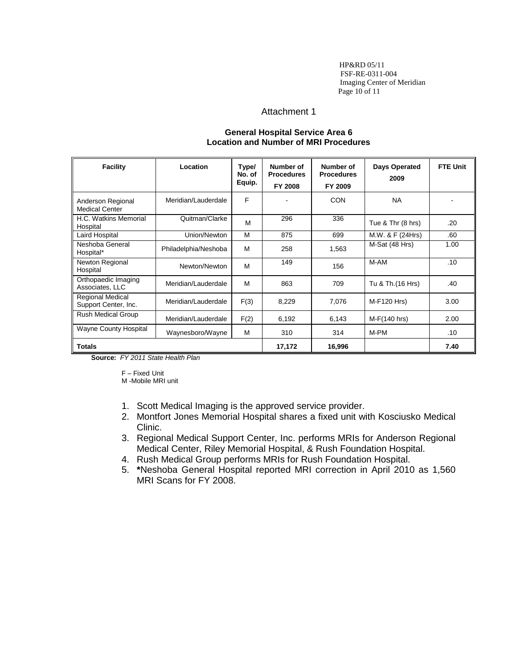HP&RD 05/11 FSF-RE-0311-004 Imaging Center of Meridian Page 10 of 11

#### Attachment 1

#### **General Hospital Service Area 6 Location and Number of MRI Procedures**

| Facility                                        | Location             | Type/<br>No. of<br>Equip. | Number of<br><b>Procedures</b><br>FY 2008 | Number of<br><b>Procedures</b><br>FY 2009 | Days Operated<br>2009 | <b>FTE Unit</b> |
|-------------------------------------------------|----------------------|---------------------------|-------------------------------------------|-------------------------------------------|-----------------------|-----------------|
| Anderson Regional<br><b>Medical Center</b>      | Meridian/Lauderdale  | F                         |                                           | CON                                       | <b>NA</b>             |                 |
| H.C. Watkins Memorial<br>Hospital               | Quitman/Clarke       | M                         | 296                                       | 336                                       | Tue & Thr (8 hrs)     | .20             |
| Laird Hospital                                  | Union/Newton         | M                         | 875                                       | 699                                       | M.W. & F (24Hrs)      | .60             |
| Neshoba General<br>Hospital*                    | Philadelphia/Neshoba | M                         | 258                                       | 1,563                                     | M-Sat (48 Hrs)        | 1.00            |
| Newton Regional<br>Hospital                     | Newton/Newton        | M                         | 149                                       | 156                                       | M-AM                  | .10             |
| Orthopaedic Imaging<br>Associates, LLC          | Meridian/Lauderdale  | M                         | 863                                       | 709                                       | Tu & Th.(16 Hrs)      | .40             |
| <b>Regional Medical</b><br>Support Center, Inc. | Meridian/Lauderdale  | F(3)                      | 8,229                                     | 7,076                                     | M-F120 Hrs)           | 3.00            |
| <b>Rush Medical Group</b>                       | Meridian/Lauderdale  | F(2)                      | 6,192                                     | 6,143                                     | $M-F(140 hrs)$        | 2.00            |
| <b>Wayne County Hospital</b>                    | Waynesboro/Wayne     | M                         | 310                                       | 314                                       | M-PM                  | .10             |
| <b>Totals</b>                                   |                      |                           | 17,172                                    | 16,996                                    |                       | 7.40            |

**Source:** *FY 2011 State Health Plan*

F – Fixed Unit M -Mobile MRI unit

- 1. Scott Medical Imaging is the approved service provider.
- 2. Montfort Jones Memorial Hospital shares a fixed unit with Kosciusko Medical Clinic.
- 3. Regional Medical Support Center, Inc. performs MRIs for Anderson Regional Medical Center, Riley Memorial Hospital, & Rush Foundation Hospital.
- 4. Rush Medical Group performs MRIs for Rush Foundation Hospital.
- 5. **\***Neshoba General Hospital reported MRI correction in April 2010 as 1,560 MRI Scans for FY 2008.